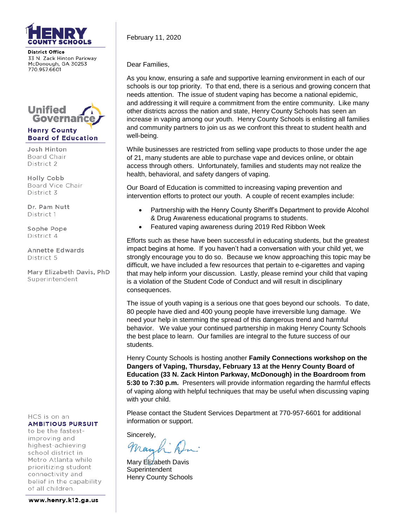

**District Office** 33 N. Zack Hinton Parkway McDonough, GA 30253 770.957.6601



Josh Hinton Board Chair District 2

Holly Cobb Board Vice Chair District 3

Dr. Pam Nutt District 1

Sophe Pope District 4

Annette Edwards District 5

Mary Elizabeth Davis, PhD Superintendent

HCS is on an **AMBITIOUS PURSUIT** 

to be the fastestimproving and highest-achieving school district in Metro Atlanta while prioritizing student connectivity and belief in the capability of all children.

February 11, 2020

Dear Families,

As you know, ensuring a safe and supportive learning environment in each of our schools is our top priority. To that end, there is a serious and growing concern that needs attention. The issue of student vaping has become a national epidemic, and addressing it will require a commitment from the entire community. Like many other districts across the nation and state, Henry County Schools has seen an increase in vaping among our youth. Henry County Schools is enlisting all families and community partners to join us as we confront this threat to student health and well-being.

While businesses are restricted from selling vape products to those under the age of 21, many students are able to purchase vape and devices online, or obtain access through others. Unfortunately, families and students may not realize the health, behavioral, and safety dangers of vaping.

Our Board of Education is committed to increasing vaping prevention and intervention efforts to protect our youth. A couple of recent examples include:

- Partnership with the Henry County Sheriff's Department to provide Alcohol & Drug Awareness educational programs to students.
- Featured vaping awareness during 2019 Red Ribbon Week

Efforts such as these have been successful in educating students, but the greatest impact begins at home. If you haven't had a conversation with your child yet, we strongly encourage you to do so. Because we know approaching this topic may be difficult, we have included a few resources that pertain to e-cigarettes and vaping that may help inform your discussion. Lastly, please remind your child that vaping is a violation of the Student Code of Conduct and will result in disciplinary consequences.

The issue of youth vaping is a serious one that goes beyond our schools. To date, 80 people have died and 400 young people have irreversible lung damage. We need your help in stemming the spread of this dangerous trend and harmful behavior. We value your continued partnership in making Henry County Schools the best place to learn. Our families are integral to the future success of our students.

Henry County Schools is hosting another **Family Connections workshop on the Dangers of Vaping, Thursday, February 13 at the Henry County Board of Education (33 N. Zack Hinton Parkway, McDonough) in the Boardroom from 5:30 to 7:30 p.m.** Presenters will provide information regarding the harmful effects of vaping along with helpful techniques that may be useful when discussing vaping with your child.

Please contact the Student Services Department at 770-957-6601 for additional information or support.

Sincerely,

Mary Elizabeth Davis **Superintendent** Henry County Schools

www.henry.k12.ga.us